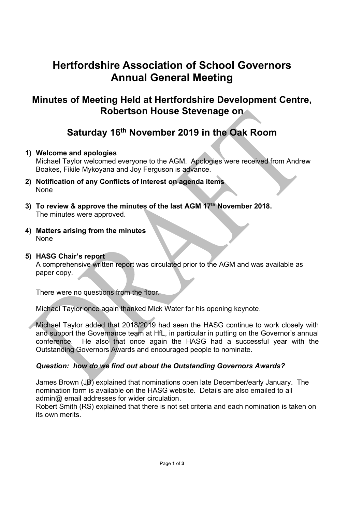# Hertfordshire Association of School Governors Annual General Meeting

### Minutes of Meeting Held at Hertfordshire Development Centre, Robertson House Stevenage on

## Saturday 16th November 2019 in the Oak Room

#### 1) Welcome and apologies

Michael Taylor welcomed everyone to the AGM. Apologies were received from Andrew Boakes, Fikile Mykoyana and Joy Ferguson is advance.

- 2) Notification of any Conflicts of Interest on agenda items None
- 3) To review & approve the minutes of the last  $AGM$  17<sup>th</sup> November 2018. The minutes were approved.
- 4) Matters arising from the minutes None
- 5) HASG Chair's report

A comprehensive written report was circulated prior to the AGM and was available as paper copy.

There were no questions from the floor.

Michael Taylor once again thanked Mick Water for his opening keynote.

Michael Taylor added that 2018/2019 had seen the HASG continue to work closely with and support the Governance team at HfL, in particular in putting on the Governor's annual conference. He also that once again the HASG had a successful year with the Outstanding Governors Awards and encouraged people to nominate.

#### Question: how do we find out about the Outstanding Governors Awards?

James Brown (JB) explained that nominations open late December/early January. The nomination form is available on the HASG website. Details are also emailed to all admin@ email addresses for wider circulation.

Robert Smith (RS) explained that there is not set criteria and each nomination is taken on its own merits.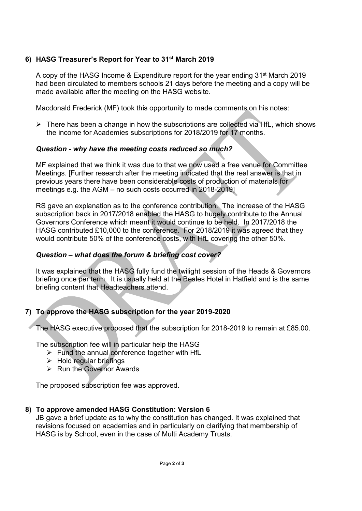#### 6) HASG Treasurer's Report for Year to 31st March 2019

A copy of the HASG Income & Expenditure report for the year ending 31st March 2019 had been circulated to members schools 21 days before the meeting and a copy will be made available after the meeting on the HASG website.

Macdonald Frederick (MF) took this opportunity to made comments on his notes:

 $\triangleright$  There has been a change in how the subscriptions are collected via HfL, which shows the income for Academies subscriptions for 2018/2019 for 17 months.

#### Question - why have the meeting costs reduced so much?

MF explained that we think it was due to that we now used a free venue for Committee Meetings. [Further research after the meeting indicated that the real answer is that in previous years there have been considerable costs of production of materials for meetings e.g. the AGM – no such costs occurred in 2018-2019]

RS gave an explanation as to the conference contribution. The increase of the HASG subscription back in 2017/2018 enabled the HASG to hugely contribute to the Annual Governors Conference which meant it would continue to be held. In 2017/2018 the HASG contributed £10,000 to the conference. For 2018/2019 it was agreed that they would contribute 50% of the conference costs, with HfL covering the other 50%.

#### Question – what does the forum & briefing cost cover?

It was explained that the HASG fully fund the twilight session of the Heads & Governors briefing once per term. It is usually held at the Beales Hotel in Hatfield and is the same briefing content that Headteachers attend.

#### 7) To approve the HASG subscription for the year 2019-2020

The HASG executive proposed that the subscription for 2018-2019 to remain at £85.00.

The subscription fee will in particular help the HASG

- $\triangleright$  Fund the annual conference together with HfL
- $\triangleright$  Hold regular briefings
- $\triangleright$  Run the Governor Awards

The proposed subscription fee was approved.

#### 8) To approve amended HASG Constitution: Version 6

JB gave a brief update as to why the constitution has changed. It was explained that revisions focused on academies and in particularly on clarifying that membership of HASG is by School, even in the case of Multi Academy Trusts.